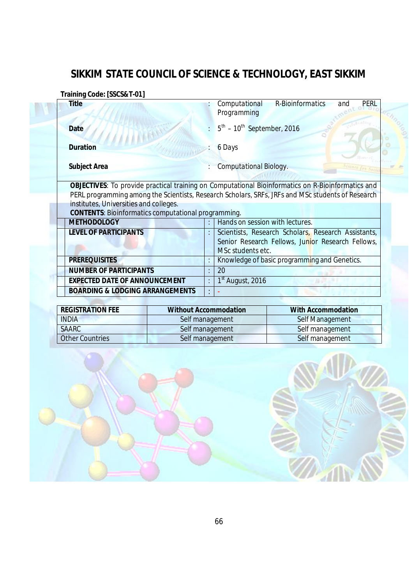## **SIKKIM STATE COUNCIL OF SCIENCE & TECHNOLOGY, EAST SIKKIM**

**Training Code: [***SSCS&T-01***]**

| <b>Title</b>                                               | R-Bioinformatics<br>Computational<br>PERL<br>and<br>Programming                                                                                                                                               |
|------------------------------------------------------------|---------------------------------------------------------------------------------------------------------------------------------------------------------------------------------------------------------------|
| <b>Date</b>                                                | $5^{th}$ – $10^{th}$ September, 2016                                                                                                                                                                          |
| <b>Duration</b>                                            | 6 Days                                                                                                                                                                                                        |
| <b>Subject Area</b>                                        | Computational Biology.                                                                                                                                                                                        |
|                                                            | <b>OBJECTIVES:</b> To provide practical training on Computational Bioinformatics on R-Bioinformatics and<br>PERL programming among the Scientists, Research Scholars, SRFs, JRFs and MSc students of Research |
| institutes, Universities and colleges.                     |                                                                                                                                                                                                               |
| <b>CONTENTS: Bioinformatics computational programming.</b> |                                                                                                                                                                                                               |
| <b>METHODOLOGY</b><br><b>LEVEL OF PARTICIPANTS</b>         | Hands on session with lectures.<br>Scientists, Research Scholars, Research Assistants,<br>Senior Research Fellows, Junior Research Fellows,<br>MSc students etc.                                              |
| <b>PREREQUISITES</b>                                       | Knowledge of basic programming and Genetics.<br>t                                                                                                                                                             |
| <b>NUMBER OF PARTICIPANTS</b>                              | 20<br>٠                                                                                                                                                                                                       |
| <b>EXPECTED DATE OF ANNOUNCEMENT</b>                       | $1st$ August, 2016<br>÷                                                                                                                                                                                       |

| <b>REGISTRATION FEE</b> | <b>Without Accommodation</b> | <b>With Accommodation</b> |
|-------------------------|------------------------------|---------------------------|
| <b>INDIA</b>            | Self management              | Self Management           |
| <b>SAARC</b>            | Self management              | Self management           |
| <b>Other Countries</b>  | Self management              | Self management           |



 $2\pi$